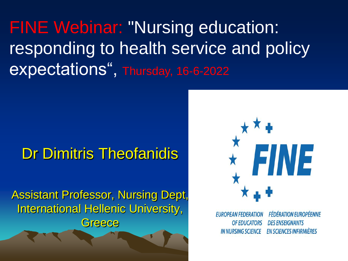FINE Webinar: "Nursing education: responding to health service and policy expectations", Thursday, 16-6-2022

#### Dr Dimitris Theofanidis

Assistant Professor, Nursing Dept, International Hellenic University, **Greece** 



**EUROPEAN FEDERATION OF EDUCATORS IN NURSING SCIENCE** 

**FÉDÉRATION EUROPÉENNE DES ENSEIGNANTS EN SCIENCES INFIRMIÈRES**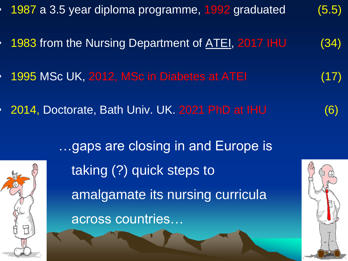

across countries…

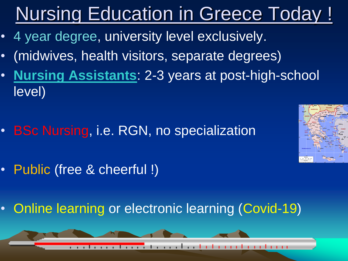# Nursing Education in Greece Today !

- 4 year degree, university level exclusively.
- (midwives, health visitors, separate degrees)
- **Nursing Assistants**: 2-3 years at post-high-school level)
- BSc Nursing, i.e. RGN, no specialization





• Online learning or electronic learning (Covid-19)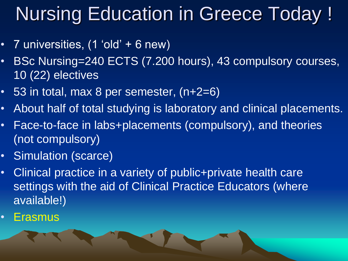## Nursing Education in Greece Today !

- 7 universities, (1 'old' + 6 new)
- BSc Nursing=240 ECTS (7.200 hours), 43 compulsory courses, 10 (22) electives
- 53 in total, max 8 per semester, (n+2=6)
- About half of total studying is laboratory and clinical placements.
- Face-to-face in labs+placements (compulsory), and theories (not compulsory)
- Simulation (scarce)
- Clinical practice in a variety of public+private health care settings with the aid of Clinical Practice Educators (where available!)
- Erasmus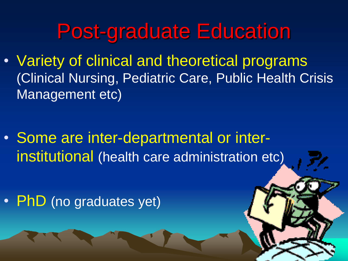### Post-graduate Education

• Variety of clinical and theoretical programs (Clinical Nursing, Pediatric Care, Public Health Crisis Management etc)

• Some are inter-departmental or interinstitutional (health care administration etc)

• PhD (no graduates yet)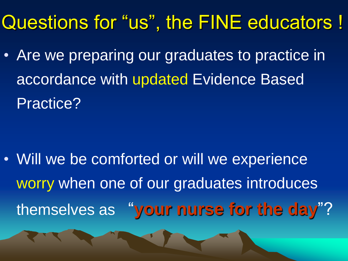### Questions for "us", the FINE educators !

• Are we preparing our graduates to practice in accordance with updated Evidence Based Practice?

• Will we be comforted or will we experience worry when one of our graduates introduces themselves as "**your nurse for the day**"?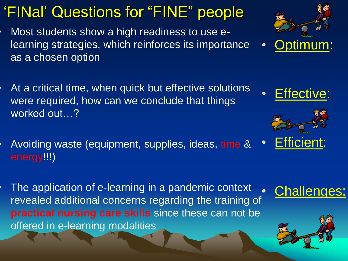### 'FINal' Questions for "FINE" people

- Most students show a high readiness to use elearning strategies, which reinforces its importance as a chosen option
- At a critical time, when quick but effective solutions were required, how can we conclude that things worked out…?
- Avoiding waste (equipment, supplies, ideas, time & energy!!!) **Efficient:**
- The application of e-learning in a pandemic context revealed additional concerns regarding the training of **practical nursing care skills** since these can not be offered in e-learning modalities





**Effective:** 



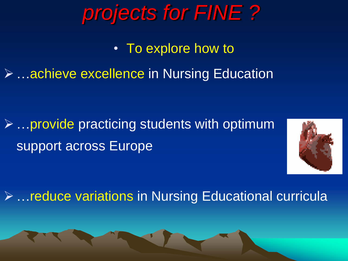### *projects for FINE ?*

• To explore how to

➢ …achieve excellence in Nursing Education

 $\triangleright$  ... provide practicing students with optimum support across Europe



➢ …reduce variations in Nursing Educational curricula